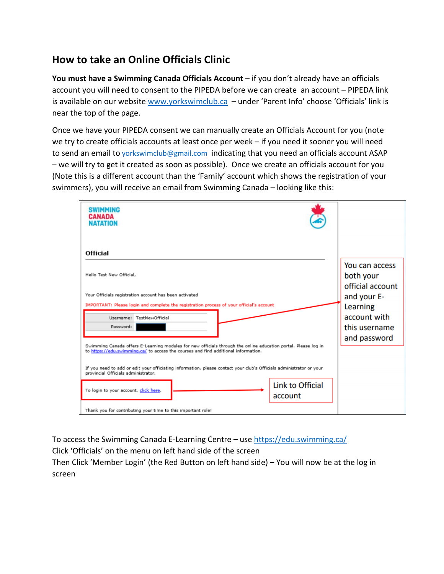## **How to take an Online Officials Clinic**

**You must have a Swimming Canada Officials Account** – if you don't already have an officials account you will need to consent to the PIPEDA before we can create an account – PIPEDA link is available on our website [www.yorkswimclub.ca](http://www.yorkswimclub.ca/) - under 'Parent Info' choose 'Officials' link is near the top of the page.

Once we have your PIPEDA consent we can manually create an Officials Account for you (note we try to create officials accounts at least once per week – if you need it sooner you will need to send an email to [yorkswimclub@gmail.com](mailto:yorkswimclub@gmail.com) indicating that you need an officials account ASAP – we will try to get it created as soon as possible). Once we create an officials account for you (Note this is a different account than the 'Family' account which shows the registration of your swimmers), you will receive an email from Swimming Canada – looking like this:

| <b>SWIMMING</b><br><b>CANADA</b><br><b>NATATION</b>                                                                                                                                                  |                                                 |
|------------------------------------------------------------------------------------------------------------------------------------------------------------------------------------------------------|-------------------------------------------------|
|                                                                                                                                                                                                      |                                                 |
| <b>Official</b>                                                                                                                                                                                      |                                                 |
| Hello Test New Official,                                                                                                                                                                             | You can access<br>both your<br>official account |
| Your Officials registration account has been activated                                                                                                                                               | and your E-                                     |
| IMPORTANT: Please login and complete the registration process of your official's account                                                                                                             | Learning                                        |
| Username: TestNewOfficial                                                                                                                                                                            | account with                                    |
| Password:                                                                                                                                                                                            | this username                                   |
| Swimming Canada offers E-Learning modules for new officials through the online education portal. Please log in<br>to https://edu.svimming.ca/ to access the courses and find additional information. | and password                                    |
| If you need to add or edit your officiating information, please contact your club's Officials administrator or your<br>provincial Officials administrator.                                           |                                                 |
| Link to Official<br>To login to your account, click here.<br>account                                                                                                                                 |                                                 |
| Thank you for contributing your time to this important role!                                                                                                                                         |                                                 |

To access the Swimming Canada E-Learning Centre – use <https://edu.swimming.ca/>

Click 'Officials' on the menu on left hand side of the screen

Then Click 'Member Login' (the Red Button on left hand side) – You will now be at the log in screen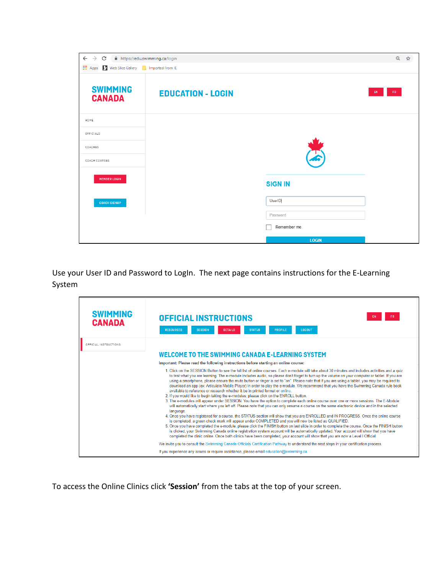| $\leftarrow$<br>$\rightarrow$<br>C<br>A https://edu.swimming.ca/login                 |                          | $\Theta$     | ☆ |
|---------------------------------------------------------------------------------------|--------------------------|--------------|---|
| <b>III</b> Apps<br>Web Slice Gallery <b>Replace Set Assets</b> In Investor Section 15 |                          |              |   |
| <b>SWIMMING</b><br><b>CANADA</b>                                                      | <b>EDUCATION - LOGIN</b> | FR.<br>EN    |   |
| HOME                                                                                  |                          |              |   |
| OFFICIALS                                                                             |                          |              |   |
| COACHES                                                                               |                          |              |   |
| COACH COURSES                                                                         |                          |              |   |
| <b>MEMBER LOGIN</b>                                                                   | <b>SIGN IN</b>           |              |   |
| <b>COACH SIGNUP</b>                                                                   | UserID                   |              |   |
|                                                                                       | Password                 |              |   |
|                                                                                       |                          | Remember me  |   |
|                                                                                       |                          | <b>LOGIN</b> |   |

Use your User ID and Password to LogIn. The next page contains instructions for the E-Learning System

| <b>SWIMMING</b><br><b>CANADA</b> | <b>OFFICIAL INSTRUCTIONS</b><br>FR.<br>LOGOUT<br><b>RESOURCES</b><br><b>SESSION</b><br><b>STATUS</b><br><b>PROFILE</b><br><b>DETAILS</b>                                                                                                                                                                                                                                                                                                                                                                                                                                                                                                                                                                                                                                                                                                                                                                                                                                                                                                                                                                                                                                                                                                                                                                                                                                                                                                                                                                                                                                                                                                                                                                                                                            |
|----------------------------------|---------------------------------------------------------------------------------------------------------------------------------------------------------------------------------------------------------------------------------------------------------------------------------------------------------------------------------------------------------------------------------------------------------------------------------------------------------------------------------------------------------------------------------------------------------------------------------------------------------------------------------------------------------------------------------------------------------------------------------------------------------------------------------------------------------------------------------------------------------------------------------------------------------------------------------------------------------------------------------------------------------------------------------------------------------------------------------------------------------------------------------------------------------------------------------------------------------------------------------------------------------------------------------------------------------------------------------------------------------------------------------------------------------------------------------------------------------------------------------------------------------------------------------------------------------------------------------------------------------------------------------------------------------------------------------------------------------------------------------------------------------------------|
| OFFICIAL INSTRUCTIONS            | WELCOME TO THE SWIMMING CANADA E-LEARNING SYSTEM                                                                                                                                                                                                                                                                                                                                                                                                                                                                                                                                                                                                                                                                                                                                                                                                                                                                                                                                                                                                                                                                                                                                                                                                                                                                                                                                                                                                                                                                                                                                                                                                                                                                                                                    |
|                                  | Important: Please read the following instructions before starting an online course:                                                                                                                                                                                                                                                                                                                                                                                                                                                                                                                                                                                                                                                                                                                                                                                                                                                                                                                                                                                                                                                                                                                                                                                                                                                                                                                                                                                                                                                                                                                                                                                                                                                                                 |
|                                  | 1. Click on the SESSION Button to see the full list of online courses. Each e-module will take about 30 minutes and includes activities and a quiz<br>to test what you are learning. The e-module includes audio, so please don't forget to turn up the volume on your computer or tablet. If you are<br>using a smartphone, please ensure the mute button or ringer is set to "on". Please note that if you are using a tablet, you may be required to<br>download an app (ex: Articulate Mobile Player) in order to play the e-module. We recommend that you have the Swimming Canada rule book<br>available to reference or research whether it be in printed format or online.<br>2. If you would like to begin taking the e-modules, please click on the ENROLL button.<br>3. The e-modules will appear under SESSION. You have the option to complete each online course over one or more sessions. The E-Module<br>will automatically start where you left off. Please note that you can only resume a course on the same electronic device and in the selected<br>language.<br>4. Once you have registered for a course, the STATUS section will show that you are ENROLLED and IN PROGRESS. Once the online course<br>is completed, a green check mark will appear under COMPLETED and you will now be listed as QUALIFIED.<br>5. Once you have completed the e-module, please click the FINISH button on last slide in order to complete the course. Once the FINISH button<br>is clicked, your Swimming Canada online registration system account will be automatically updated. Your account will show that you have<br>completed the clinic online. Once both clinics have been completed, your account will show that you are now a Level I Official. |
|                                  | We invite you to consult the Swimming Canada Officials Certification Pathway to understand the next steps in your certification process.                                                                                                                                                                                                                                                                                                                                                                                                                                                                                                                                                                                                                                                                                                                                                                                                                                                                                                                                                                                                                                                                                                                                                                                                                                                                                                                                                                                                                                                                                                                                                                                                                            |
|                                  | If you experience any issues or require assistance, please email education@swimming.ca.                                                                                                                                                                                                                                                                                                                                                                                                                                                                                                                                                                                                                                                                                                                                                                                                                                                                                                                                                                                                                                                                                                                                                                                                                                                                                                                                                                                                                                                                                                                                                                                                                                                                             |

To access the Online Clinics click **'Session'** from the tabs at the top of your screen.